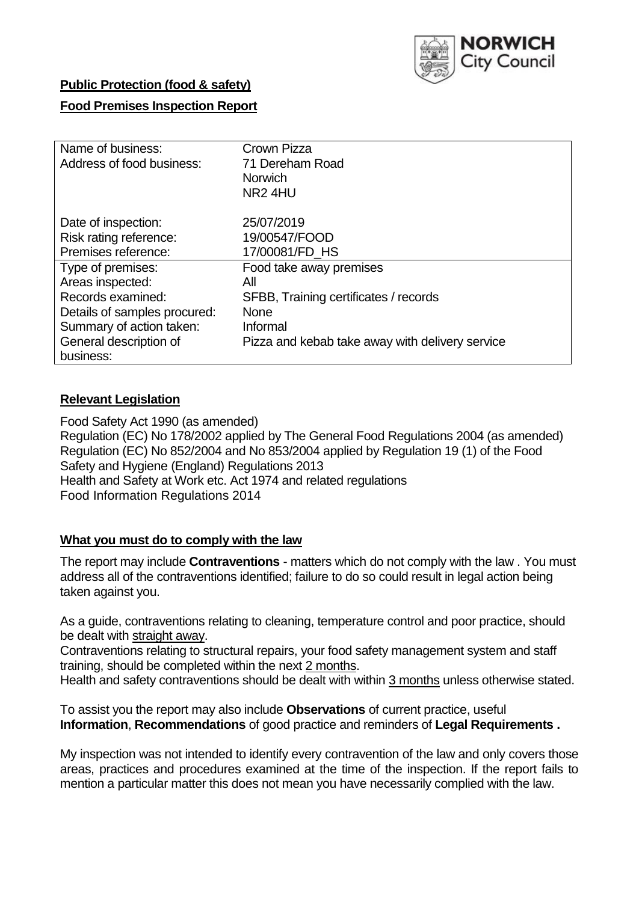

## **Public Protection (food & safety)**

## **Food Premises Inspection Report**

| Name of business:            | Crown Pizza                                     |
|------------------------------|-------------------------------------------------|
| Address of food business:    | 71 Dereham Road                                 |
|                              | <b>Norwich</b>                                  |
|                              | NR <sub>2</sub> 4HU                             |
| Date of inspection:          | 25/07/2019                                      |
| Risk rating reference:       | 19/00547/FOOD                                   |
| Premises reference:          | 17/00081/FD HS                                  |
| Type of premises:            | Food take away premises                         |
| Areas inspected:             | All                                             |
| Records examined:            | SFBB, Training certificates / records           |
| Details of samples procured: | <b>None</b>                                     |
| Summary of action taken:     | Informal                                        |
| General description of       | Pizza and kebab take away with delivery service |
| business:                    |                                                 |

## **Relevant Legislation**

Food Safety Act 1990 (as amended) Regulation (EC) No 178/2002 applied by The General Food Regulations 2004 (as amended) Regulation (EC) No 852/2004 and No 853/2004 applied by Regulation 19 (1) of the Food Safety and Hygiene (England) Regulations 2013 Health and Safety at Work etc. Act 1974 and related regulations Food Information Regulations 2014

### **What you must do to comply with the law**

The report may include **Contraventions** - matters which do not comply with the law . You must address all of the contraventions identified; failure to do so could result in legal action being taken against you.

As a guide, contraventions relating to cleaning, temperature control and poor practice, should be dealt with straight away.

Contraventions relating to structural repairs, your food safety management system and staff training, should be completed within the next 2 months.

Health and safety contraventions should be dealt with within 3 months unless otherwise stated.

To assist you the report may also include **Observations** of current practice, useful **Information**, **Recommendations** of good practice and reminders of **Legal Requirements .**

My inspection was not intended to identify every contravention of the law and only covers those areas, practices and procedures examined at the time of the inspection. If the report fails to mention a particular matter this does not mean you have necessarily complied with the law.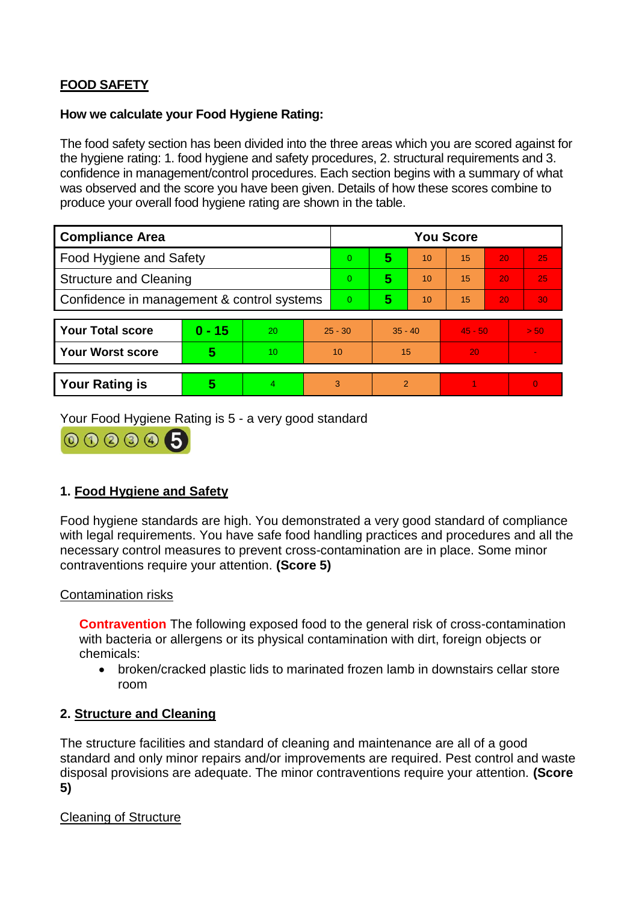# **FOOD SAFETY**

## **How we calculate your Food Hygiene Rating:**

The food safety section has been divided into the three areas which you are scored against for the hygiene rating: 1. food hygiene and safety procedures, 2. structural requirements and 3. confidence in management/control procedures. Each section begins with a summary of what was observed and the score you have been given. Details of how these scores combine to produce your overall food hygiene rating are shown in the table.

| <b>Compliance Area</b>                     |                         |                  |           | <b>You Score</b> |                |    |           |    |                |  |
|--------------------------------------------|-------------------------|------------------|-----------|------------------|----------------|----|-----------|----|----------------|--|
| Food Hygiene and Safety                    |                         |                  |           | 0                | 5              | 10 | 15        | 20 | 25             |  |
| <b>Structure and Cleaning</b>              |                         |                  | 0         | 5                | 10             | 15 | 20        | 25 |                |  |
| Confidence in management & control systems |                         |                  | 0         | 5                | 10             | 15 | 20        | 30 |                |  |
|                                            |                         |                  |           |                  |                |    |           |    |                |  |
| <b>Your Total score</b>                    | $0 - 15$                | 20               | $25 - 30$ |                  | $35 - 40$      |    | $45 - 50$ |    | > 50           |  |
| Your Worst score                           | $\overline{\mathbf{5}}$ | 10 <sup>10</sup> | 10        |                  | 15             |    | 20        |    | $\blacksquare$ |  |
|                                            |                         |                  |           |                  |                |    |           |    |                |  |
| <b>Your Rating is</b>                      | 5                       | $\overline{4}$   | 3         |                  | $\overline{2}$ |    |           |    | $\overline{0}$ |  |

Your Food Hygiene Rating is 5 - a very good standard



# **1. Food Hygiene and Safety**

Food hygiene standards are high. You demonstrated a very good standard of compliance with legal requirements. You have safe food handling practices and procedures and all the necessary control measures to prevent cross-contamination are in place. Some minor contraventions require your attention. **(Score 5)**

# Contamination risks

**Contravention** The following exposed food to the general risk of cross-contamination with bacteria or allergens or its physical contamination with dirt, foreign objects or chemicals:

 broken/cracked plastic lids to marinated frozen lamb in downstairs cellar store room

# **2. Structure and Cleaning**

The structure facilities and standard of cleaning and maintenance are all of a good standard and only minor repairs and/or improvements are required. Pest control and waste disposal provisions are adequate. The minor contraventions require your attention. **(Score 5)**

# Cleaning of Structure